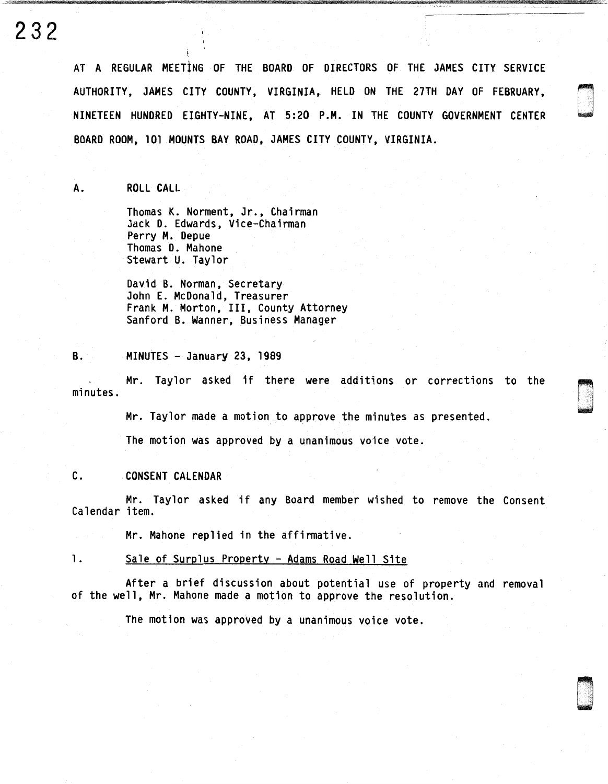# 232

AT A REGULAR MEETING OF THE BOARD OF DIRECTORS OF THE JAMES CITY SERVICE AUTHORITY, JAMES CITY COUNTY, VIRGINIA, HELD ON THE 27TH DAY OF FEBRUARY, NINETEEN HUNDRED EIGHTY-NINE, AT 5:20 P.H. IN THE COUNTY GOVERNMENT CENTER BOARD ROOM, 101 MOUNTS BAY ROAD, JAMES CITY COUNTY, VIRGINIA.

A. ROLL CALL

Thomas K. Norment, Jr., Chairman Jack D. Edwards, Vice-Chairman Perry M. Depue Thomas D. Mahone Stewart U. Taylor

David B. Norman, Secretary John E. McDonald, Treasurer Frank M. Morton, III, County Attorney Sanford B. Wanner, Business Manager

#### B. MINUTES - January 23, 1989

Mr. Taylor asked if there were additions or corrections to the minutes.

n u

g .<br>G .<br>G . .

Mr. Taylor made a motion to approve the minutes as presented.

The motion was approved by a unanimous voice vote.

## C. CONSENT CALENDAR

Mr. Taylor asked if any Board member wished to remove the Consent Calendar item.

Mr. Mahone replied in the affirmative.

#### 1. Sale of Surplus Property - Adams Road Well Site

After a brief discussion about potential use of property and removal of the well, Mr. Mahone made a motion to approve the resolution.

The motion was approved by a unanimous voice vote.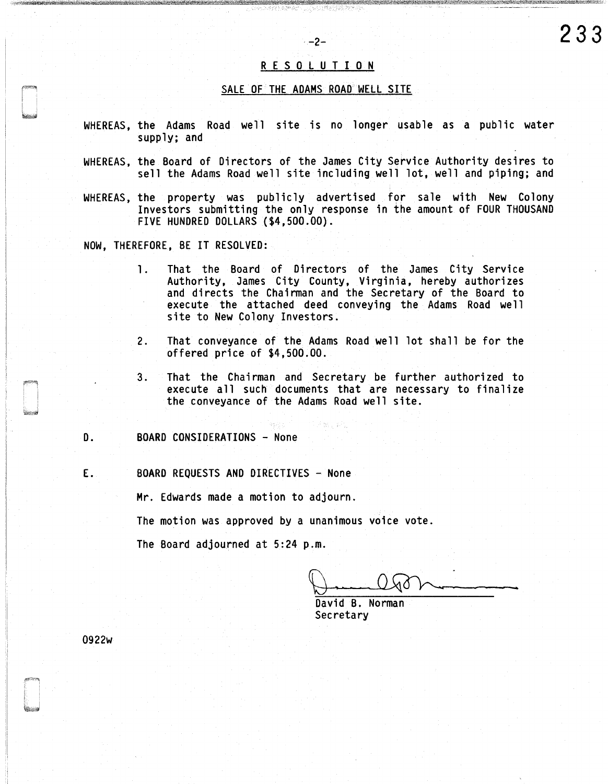## R E S 0 L U T I 0 N

 $-2-$ 

**233** 

### SALE OF THE ADAMS ROAD WELL SITE

- WHEREAS, the Adams Road well site is no longer usable as a public water supply; and
- WHEREAS, the Board of Directors of the James City Service Authority desires to sell the Adams Road well site including well lot, well and piping; and
- WHEREAS, the property was publicly advertised for sale with New Colony Investors submitting the only response in the amount of FOUR THOUSAND FIVE HUNDRED DOLLARS (\$4,500.00).
- NOW, THEREFORE, BE IT RESOLVED:
	- 1. That the Board of Directors of the James City Service Authority, James City County, Virginia, hereby authorizes and directs the Chairman and the Secretary of the Board to execute the attached deed conveying the Adams Road well site to New Colony Investors.
	- 2. That conveyance of the Adams Road well lot shall be for the offered price of \$4,500.00.
	- 3. That the Chairman and Secretary be further authorized to execute all such documents that are necessary to finalize the conveyance of the Adams Road well site.
- D. BOARD CONSIDERATIONS None
- E. BOARD REQUESTS AND DIRECTIVES None

Mr. Edwards made a motion to adjourn.

The motion was approved by a unanimous voice vote.

The Board adjourned at 5:24 p.m.

David B. Norman **Secretary** 

0922w